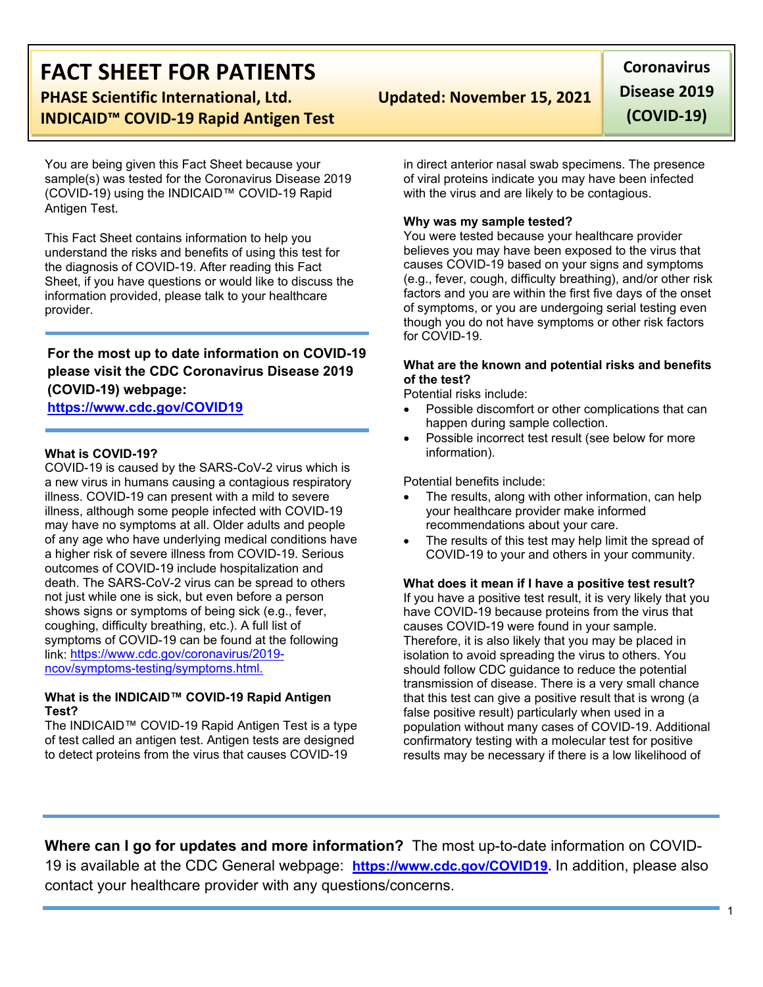# **FACT SHEET FOR PATIENTS**

**PHASE Scientific International, Ltd. Updated: November 15, 2021 INDICAID™ COVID-19 Rapid Antigen Test**

You are being given this Fact Sheet because your sample(s) was tested for the Coronavirus Disease 2019 (COVID-19) using the INDICAID™ COVID-19 Rapid Antigen Test.

This Fact Sheet contains information to help you understand the risks and benefits of using this test for the diagnosis of COVID-19. After reading this Fact Sheet, if you have questions or would like to discuss the information provided, please talk to your healthcare provider.

**For the most up to date information on COVID-19 please visit the CDC Coronavirus Disease 2019 (COVID-19) webpage: [https://www.cdc.gov/COVID19](https://www.cdc.gov/nCoV)**

#### **What is COVID-19?**

COVID-19 is caused by the SARS-CoV-2 virus which is a new virus in humans causing a contagious respiratory illness. COVID-19 can present with a mild to severe illness, although some people infected with COVID-19 may have no symptoms at all. Older adults and people of any age who have underlying medical conditions have a higher risk of severe illness from COVID-19. Serious outcomes of COVID-19 include hospitalization and death. The SARS-CoV-2 virus can be spread to others not just while one is sick, but even before a person shows signs or symptoms of being sick (e.g., fever, coughing, difficulty breathing, etc.). A full list of symptoms of COVID-19 can be found at the following link: [https://www.cdc.gov/coronavirus/2019](https://www.cdc.gov/coronavirus/2019-ncov/symptoms-testing/symptoms.html) [ncov/symptoms-testing/symptoms.html.](https://www.cdc.gov/coronavirus/2019-ncov/symptoms-testing/symptoms.html)

#### **What is the INDICAID™ COVID-19 Rapid Antigen Test?**

The INDICAID™ COVID-19 Rapid Antigen Test is a type of test called an antigen test. Antigen tests are designed to detect proteins from the virus that causes COVID-19

**Coronavirus Disease 2019 (COVID-19)**

in direct anterior nasal swab specimens. The presence of viral proteins indicate you may have been infected with the virus and are likely to be contagious.

#### **Why was my sample tested?**

You were tested because your healthcare provider believes you may have been exposed to the virus that causes COVID-19 based on your signs and symptoms (e.g., fever, cough, difficulty breathing), and/or other risk factors and you are within the first five days of the onset of symptoms, or you are undergoing serial testing even though you do not have symptoms or other risk factors for COVID-19.

#### **What are the known and potential risks and benefits of the test?**

Potential risks include:

- Possible discomfort or other complications that can happen during sample collection.
- Possible incorrect test result (see below for more information).

Potential benefits include:

- The results, along with other information, can help your healthcare provider make informed recommendations about your care.
- The results of this test may help limit the spread of COVID-19 to your and others in your community.

#### **What does it mean if I have a positive test result?**

If you have a positive test result, it is very likely that you have COVID-19 because proteins from the virus that causes COVID-19 were found in your sample. Therefore, it is also likely that you may be placed in isolation to avoid spreading the virus to others. You should follow CDC guidance to reduce the potential transmission of disease. There is a very small chance that this test can give a positive result that is wrong (a false positive result) particularly when used in a population without many cases of COVID-19. Additional confirmatory testing with a molecular test for positive results may be necessary if there is a low likelihood of

**Where can I go for updates and more information?** The most up-to-date information on COVID-19 is available at the CDC General webpage: **[https://www.cdc.gov/COVID19.](https://www.cdc.gov/nCoV)** In addition, please also contact your healthcare provider with any questions/concerns.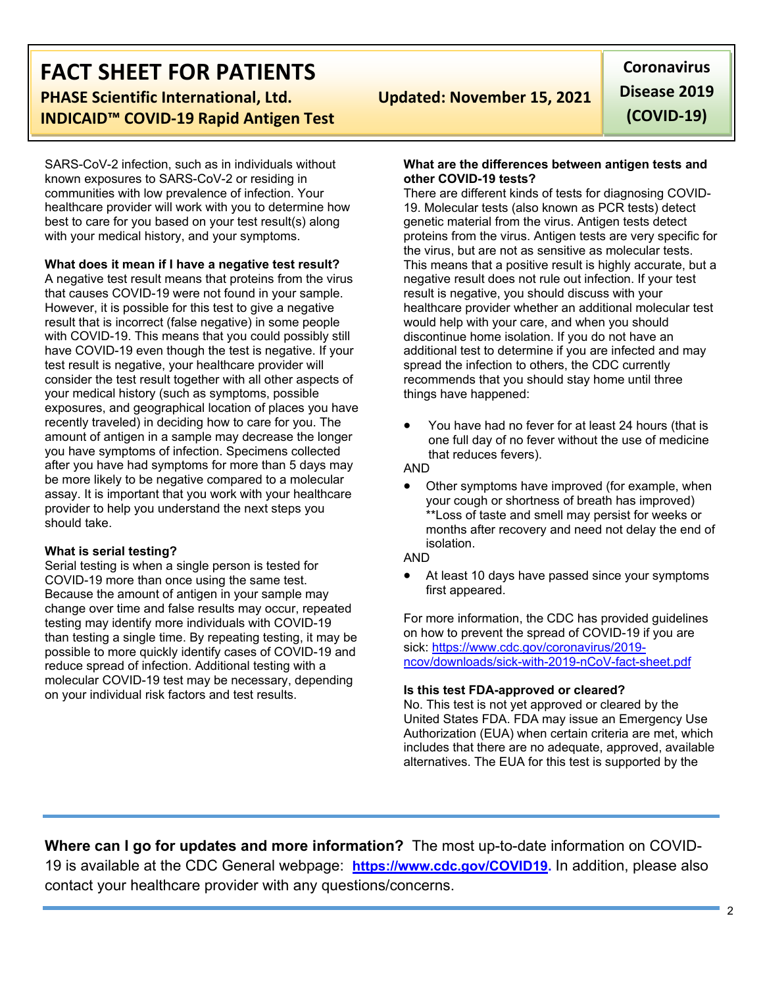## **FACT SHEET FOR PATIENTS PHASE Scientific International, Ltd. Updated: November 15, 2021 INDICAID™ COVID-19 Rapid Antigen Test**

SARS-CoV-2 infection, such as in individuals without known exposures to SARS-CoV-2 or residing in communities with low prevalence of infection. Your healthcare provider will work with you to determine how best to care for you based on your test result(s) along with your medical history, and your symptoms.

**What does it mean if I have a negative test result?**

A negative test result means that proteins from the virus that causes COVID-19 were not found in your sample. However, it is possible for this test to give a negative result that is incorrect (false negative) in some people with COVID-19. This means that you could possibly still have COVID-19 even though the test is negative. If your test result is negative, your healthcare provider will consider the test result together with all other aspects of your medical history (such as symptoms, possible exposures, and geographical location of places you have recently traveled) in deciding how to care for you. The amount of antigen in a sample may decrease the longer you have symptoms of infection. Specimens collected after you have had symptoms for more than 5 days may be more likely to be negative compared to a molecular assay. It is important that you work with your healthcare provider to help you understand the next steps you should take.

#### **What is serial testing?**

Serial testing is when a single person is tested for COVID-19 more than once using the same test. Because the amount of antigen in your sample may change over time and false results may occur, repeated testing may identify more individuals with COVID-19 than testing a single time. By repeating testing, it may be possible to more quickly identify cases of COVID-19 and reduce spread of infection. Additional testing with a molecular COVID-19 test may be necessary, depending on your individual risk factors and test results.

**Coronavirus Disease 2019 (COVID-19)**

#### **What are the differences between antigen tests and other COVID-19 tests?**

There are different kinds of tests for diagnosing COVID-19. Molecular tests (also known as PCR tests) detect genetic material from the virus. Antigen tests detect proteins from the virus. Antigen tests are very specific for the virus, but are not as sensitive as molecular tests. This means that a positive result is highly accurate, but a negative result does not rule out infection. If your test result is negative, you should discuss with your healthcare provider whether an additional molecular test would help with your care, and when you should discontinue home isolation. If you do not have an additional test to determine if you are infected and may spread the infection to others, the CDC currently recommends that you should stay home until three things have happened:

• You have had no fever for at least 24 hours (that is one full day of no fever without the use of medicine that reduces fevers).

AND

Other symptoms have improved (for example, when your cough or shortness of breath has improved) \*\*Loss of taste and smell may persist for weeks or months after recovery and need not delay the end of isolation.

#### AND

At least 10 days have passed since your symptoms first appeared.

For more information, the CDC has provided guidelines on how to prevent the spread of COVID-19 if you are sick: [https://www.cdc.gov/coronavirus/2019](https://www.cdc.gov/coronavirus/2019-ncov/downloads/sick-with-2019-nCoV-fact-sheet.pdf) [ncov/downloads/sick-with-2019-nCoV-fact-sheet.pdf](https://www.cdc.gov/coronavirus/2019-ncov/downloads/sick-with-2019-nCoV-fact-sheet.pdf)

#### **Is this test FDA-approved or cleared?**

No. This test is not yet approved or cleared by the United States FDA. FDA may issue an Emergency Use Authorization (EUA) when certain criteria are met, which includes that there are no adequate, approved, available alternatives. The EUA for this test is supported by the

**Where can I go for updates and more information?** The most up-to-date information on COVID-19 is available at the CDC General webpage: **[https://www.cdc.gov/COVID19.](https://www.cdc.gov/nCoV)** In addition, please also contact your healthcare provider with any questions/concerns.